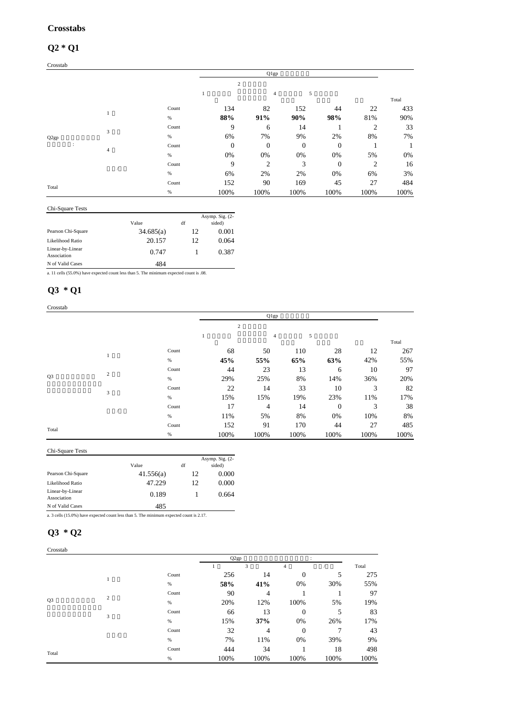### **Crosstabs**

# **Q2 \* Q1**

Crosstab

|                      |                |       |                  | Q1gp           |                  |                  |                |       |
|----------------------|----------------|-------|------------------|----------------|------------------|------------------|----------------|-------|
|                      |                |       | $\overline{2}$   |                |                  |                  |                |       |
|                      |                |       |                  | $\overline{4}$ | 5                |                  |                |       |
|                      |                |       |                  |                |                  |                  |                | Total |
|                      |                | Count | 134              | 82             | 152              | 44               | 22             | 433   |
|                      | -1             | $\%$  | 88%              | 91%            | 90%              | 98%              | 81%            | 90%   |
|                      | 3              | Count | 9                | 6              | 14               | 1                | 2              | 33    |
| Q2gp                 |                | $\%$  | 6%               | 7%             | 9%               | 2%               | 8%             | 7%    |
| $\ddot{\phantom{a}}$ |                | Count | $\boldsymbol{0}$ | $\overline{0}$ | $\boldsymbol{0}$ | $\boldsymbol{0}$ |                |       |
|                      | $\overline{4}$ | $\%$  | 0%               | 0%             | 0%               | 0%               | 5%             | 0%    |
|                      |                | Count | 9                | 2              | 3                | $\boldsymbol{0}$ | $\overline{2}$ | 16    |
|                      |                | %     | 6%               | 2%             | 2%               | 0%               | 6%             | 3%    |
| Total                |                | Count | 152              | 90             | 169              | 45               | 27             | 484   |
|                      |                | %     | 100%             | 100%           | 100%             | 100%             | 100%           | 100%  |

### Chi-Square Tests

|                                 | Value     | df | Asymp. Sig. (2-<br>sided) |
|---------------------------------|-----------|----|---------------------------|
| Pearson Chi-Square              | 34.685(a) | 12 | 0.001                     |
| Likelihood Ratio                | 20.157    | 12 | 0.064                     |
| Linear-by-Linear<br>Association | 0.747     |    | 0.387                     |
| N of Valid Cases                | 484       |    |                           |

a. 11 cells (55.0%) have expected count less than 5. The minimum expected count is .08.

# **Q3 \* Q1**

Crosstab

|                |   |       |                | Q1gp           |      |                |      |       |
|----------------|---|-------|----------------|----------------|------|----------------|------|-------|
|                |   |       | $\overline{c}$ |                |      |                |      |       |
|                |   |       |                | $\overline{4}$ | 5    |                |      |       |
|                |   |       |                |                |      |                |      | Total |
|                |   | Count | 68             | 50             | 110  | 28             | 12   | 267   |
|                |   | %     | 45%            | 55%            | 65%  | 63%            | 42%  | 55%   |
|                |   | Count | 44             | 23             | 13   | 6              | 10   | 97    |
| Q <sub>3</sub> | 2 | %     | 29%            | 25%            | 8%   | 14%            | 36%  | 20%   |
|                | 3 | Count | 22             | 14             | 33   | 10             | 3    | 82    |
|                |   | $\%$  | 15%            | 15%            | 19%  | 23%            | 11%  | 17%   |
|                |   | Count | 17             | 4              | 14   | $\overline{0}$ | 3    | 38    |
|                |   | $\%$  | 11%            | 5%             | 8%   | 0%             | 10%  | 8%    |
|                |   | Count | 152            | 91             | 170  | 44             | 27   | 485   |
| Total          |   | $\%$  | 100%           | 100%           | 100% | 100%           | 100% | 100%  |

### Chi-Square Tests

|                                 |           |    | Asymp. Sig. $(2-$ |
|---------------------------------|-----------|----|-------------------|
|                                 | Value     | df | sided)            |
| Pearson Chi-Square              | 41.556(a) | 12 | 0.000             |
| Likelihood Ratio                | 47.229    | 12 | 0.000             |
| Linear-by-Linear<br>Association | 0.189     |    | 0.664             |
| N of Valid Cases                | 485       |    |                   |

a. 3 cells (15.0%) have expected count less than 5. The minimum expected count is 2.17.

## **Q3 \* Q2**

| Crosstab       |   |       |                   |                |                |      |       |
|----------------|---|-------|-------------------|----------------|----------------|------|-------|
|                |   |       | Q <sub>2</sub> gp |                |                |      |       |
|                |   |       |                   | 3              | 4              |      | Total |
|                |   | Count | 256               | 14             | $\overline{0}$ | 5    | 275   |
|                |   | $\%$  | 58%               | 41%            | 0%             | 30%  | 55%   |
|                |   | Count | 90                | $\overline{4}$ |                |      | 97    |
| Q <sub>3</sub> | 2 | $\%$  | 20%               | 12%            | 100%           | 5%   | 19%   |
|                |   | Count | 66                | 13             | $\mathbf{0}$   | 5    | 83    |
|                | 3 | $\%$  | 15%               | 37%            | 0%             | 26%  | 17%   |
|                |   | Count | 32                | $\overline{4}$ | $\overline{0}$ | 7    | 43    |
|                |   | $\%$  | 7%                | 11%            | 0%             | 39%  | 9%    |
|                |   | Count | 444               | 34             |                | 18   | 498   |
| Total          |   | %     | 100%              | 100%           | 100%           | 100% | 100%  |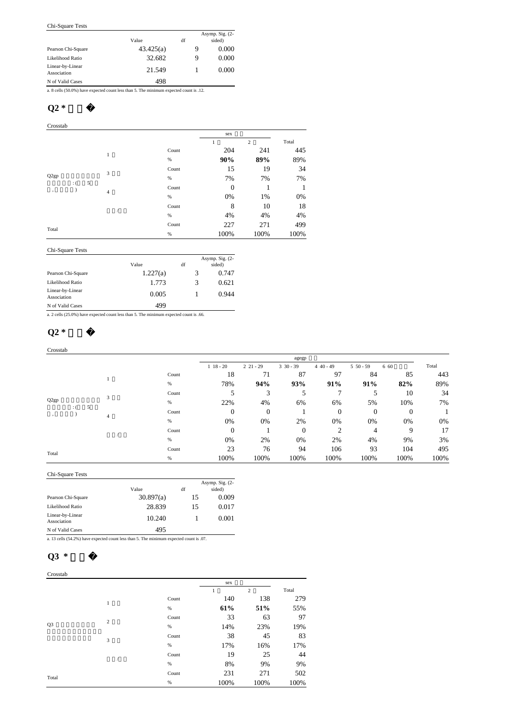### Chi-Square Tests

|                                 |           |    |   | Asymp. Sig. $(2-$ |
|---------------------------------|-----------|----|---|-------------------|
|                                 | Value     | df |   | sided)            |
| Pearson Chi-Square              | 43.425(a) |    | 9 | 0.000             |
| Likelihood Ratio                | 32.682    |    | 9 | 0.000             |
| Linear-by-Linear<br>Association | 21.549    |    |   | 0.000             |
| N of Valid Cases                | 498       |    |   |                   |

a. 8 cells (50.0%) have expected count less than 5. The minimum expected count is .12.

## Q<sub>2</sub>  $*$

### Crosstab

|                   |            |   |   |                    |       | sex              |                |       |
|-------------------|------------|---|---|--------------------|-------|------------------|----------------|-------|
|                   |            |   |   |                    |       | 1                | $\mathfrak{2}$ | Total |
|                   |            |   | 1 |                    | Count | 204              | 241            | 445   |
|                   |            |   |   |                    | $\%$  | 90%              | 89%            | 89%   |
|                   |            |   | 3 |                    | Count | 15               | 19             | 34    |
| Q <sub>2</sub> gp |            | 5 |   |                    | $\%$  | 7%               | 7%             | 7%    |
| $\cdot$           | $\colon$ ( |   |   | Count<br>4<br>$\%$ |       | $\boldsymbol{0}$ |                | 1     |
|                   |            |   |   |                    | 0%    | 1%               | 0%             |       |
|                   |            |   |   |                    |       | Count            | 8              | 10    |
|                   |            |   |   |                    | $\%$  | 4%               | 4%             | 4%    |
|                   |            |   |   |                    | Count | 227              | 271            | 499   |
| Total             |            |   |   |                    | $\%$  | 100%             | 100%           | 100%  |

### Chi-Square Tests

|                                 | Value    | df |   | Asymp. Sig. $(2-$<br>sided) |
|---------------------------------|----------|----|---|-----------------------------|
| Pearson Chi-Square              | 1.227(a) |    | 3 | 0.747                       |
| Likelihood Ratio                | 1.773    |    | 3 | 0.621                       |
| Linear-by-Linear<br>Association | 0.005    |    |   | 0.944                       |
| N of Valid Cases                | 499      |    |   |                             |

a. 2 cells (25.0%) have expected count less than 5. The minimum expected count is .66.

## $Q2 *$

### Crosstab

|                   |            |   |       |              |              | agegp        |              |              |              |       |
|-------------------|------------|---|-------|--------------|--------------|--------------|--------------|--------------|--------------|-------|
|                   |            |   |       | $1\;18-20$   | $221 - 29$   | $3\,30 - 39$ | $440 - 49$   | $5\,50 - 59$ | 6 60         | Total |
|                   |            |   | Count | 18           | 71           | 87           | 97           | 84           | 85           | 443   |
|                   |            |   | $\%$  | 78%          | 94%          | 93%          | 91%          | 91%          | 82%          | 89%   |
|                   |            |   | Count | 5            | 3            |              | 7            | 5            | 10           | 34    |
| Q <sub>2</sub> gp | 5          |   | $\%$  | 22%          | 4%           | 6%           | 6%           | 5%           | 10%          | 7%    |
|                   | $\colon$ ( | 4 | Count | 0            | $\mathbf{0}$ |              | $\mathbf{0}$ | $\Omega$     | $\mathbf{0}$ |       |
|                   |            |   | $\%$  | 0%           | 0%           | 2%           | 0%           | 0%           | 0%           | 0%    |
|                   |            |   | Count | $\mathbf{0}$ |              | $\mathbf{0}$ | 2            | 4            | 9            | 17    |
|                   |            |   | $\%$  | 0%           | 2%           | 0%           | 2%           | 4%           | 9%           | 3%    |
|                   |            |   | Count | 23           | 76           | 94           | 106          | 93           | 104          | 495   |
| Total             |            |   | %     | 100%         | 100%         | 100%         | 100%         | 100%         | 100%         | 100%  |

### Chi-Square Tests

|                                 |           |    | Asymp. Sig. $(2-$ |
|---------------------------------|-----------|----|-------------------|
|                                 | Value     | df | sided)            |
| Pearson Chi-Square              | 30.897(a) | 15 | 0.009             |
| Likelihood Ratio                | 28.839    | 15 | 0.017             |
| Linear-by-Linear<br>Association | 10.240    |    | 0.001             |
| N of Valid Cases                | 495       |    |                   |

a. 13 cells (54.2%) have expected count less than 5. The minimum expected count is .07.

## Q3  $*$

### Crosstab

| Crossiao       |   |       |      |                |       |
|----------------|---|-------|------|----------------|-------|
|                |   |       | sex  |                |       |
|                |   |       | 1    | $\overline{c}$ | Total |
|                | 1 | Count | 140  | 138            | 279   |
|                |   | %     | 61%  | 51%            | 55%   |
|                | 2 | Count | 33   | 63             | 97    |
| Q <sub>3</sub> |   | %     | 14%  | 23%            | 19%   |
|                | 3 | Count | 38   | 45             | 83    |
|                |   | %     | 17%  | 16%            | 17%   |
|                |   | Count | 19   | 25             | 44    |
|                |   | $\%$  | 8%   | 9%             | 9%    |
|                |   | Count | 231  | 271            | 502   |
| Total          |   | %     | 100% | 100%           | 100%  |